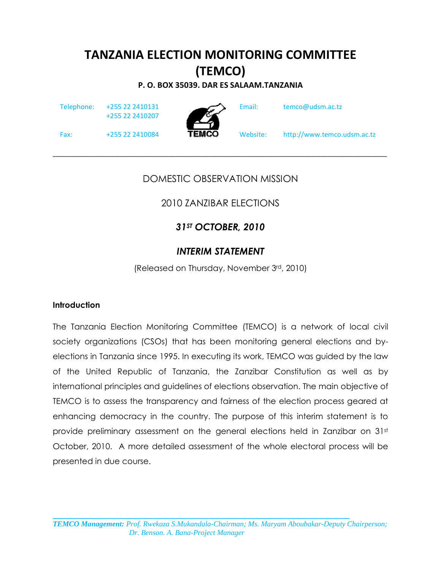# TANZANIA ELECTION MONITORING COMMITTEE (TEMCO)

P. O. BOX 35039. DAR ES SALAAM.TANZANIA

Telephone: +255 22 2410131

+255 22 2410207



Email: temco@udsm.ac.tz

Fax:  $+255\,22\,2410084$  **TEMCO** Website: http://www.temco.udsm.ac.tz

### DOMESTIC OBSERVATION MISSION

 $\_$  ,  $\_$  ,  $\_$  ,  $\_$  ,  $\_$  ,  $\_$  ,  $\_$  ,  $\_$  ,  $\_$  ,  $\_$  ,  $\_$  ,  $\_$  ,  $\_$  ,  $\_$  ,  $\_$  ,  $\_$  ,  $\_$  ,  $\_$  ,  $\_$  ,  $\_$ 

# 2010 ZANZIBAR ELECTIONS

# 31<sup>ST</sup> OCTOBER, 2010

### INTERIM STATEMENT

(Released on Thursday, November 3rd, 2010)

#### **Introduction**

The Tanzania Election Monitoring Committee (TEMCO) is a network of local civil society organizations (CSOs) that has been monitoring general elections and byelections in Tanzania since 1995. In executing its work, TEMCO was guided by the law of the United Republic of Tanzania, the Zanzibar Constitution as well as by international principles and guidelines of elections observation. The main objective of TEMCO is to assess the transparency and fairness of the election process geared at enhancing democracy in the country. The purpose of this interim statement is to provide preliminary assessment on the general elections held in Zanzibar on 31st October, 2010. A more detailed assessment of the whole electoral process will be presented in due course.

\_\_\_\_\_\_\_\_\_\_\_\_\_\_\_\_\_\_\_\_\_\_\_\_\_\_\_\_\_\_\_\_\_\_\_\_\_\_\_\_\_\_\_\_\_\_\_\_\_\_\_\_\_\_\_\_\_\_\_\_\_\_\_\_\_\_\_\_\_\_\_\_\_\_\_\_\_\_\_\_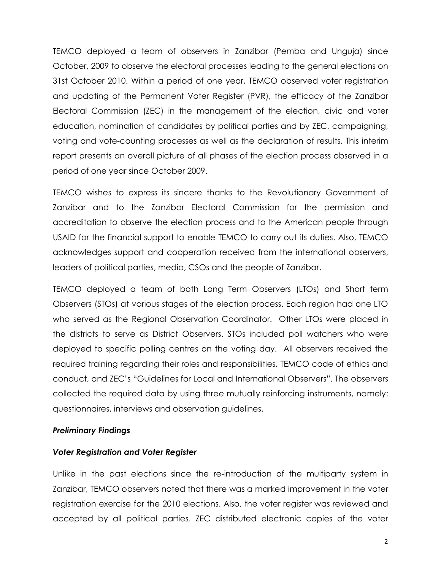TEMCO deployed a team of observers in Zanzibar (Pemba and Unguja) since October, 2009 to observe the electoral processes leading to the general elections on 31st October 2010. Within a period of one year, TEMCO observed voter registration and updating of the Permanent Voter Register (PVR), the efficacy of the Zanzibar Electoral Commission (ZEC) in the management of the election, civic and voter education, nomination of candidates by political parties and by ZEC, campaigning, voting and vote-counting processes as well as the declaration of results. This interim report presents an overall picture of all phases of the election process observed in a period of one year since October 2009.

TEMCO wishes to express its sincere thanks to the Revolutionary Government of Zanzibar and to the Zanzibar Electoral Commission for the permission and accreditation to observe the election process and to the American people through USAID for the financial support to enable TEMCO to carry out its duties. Also, TEMCO acknowledges support and cooperation received from the international observers, leaders of political parties, media, CSOs and the people of Zanzibar.

TEMCO deployed a team of both Long Term Observers (LTOs) and Short term Observers (STOs) at various stages of the election process. Each region had one LTO who served as the Regional Observation Coordinator. Other LTOs were placed in the districts to serve as District Observers. STOs included poll watchers who were deployed to specific polling centres on the voting day. All observers received the required training regarding their roles and responsibilities, TEMCO code of ethics and conduct, and ZEC's "Guidelines for Local and International Observers". The observers collected the required data by using three mutually reinforcing instruments, namely: questionnaires, interviews and observation guidelines.

#### Preliminary Findings

#### Voter Registration and Voter Register

Unlike in the past elections since the re-introduction of the multiparty system in Zanzibar, TEMCO observers noted that there was a marked improvement in the voter registration exercise for the 2010 elections. Also, the voter register was reviewed and accepted by all political parties. ZEC distributed electronic copies of the voter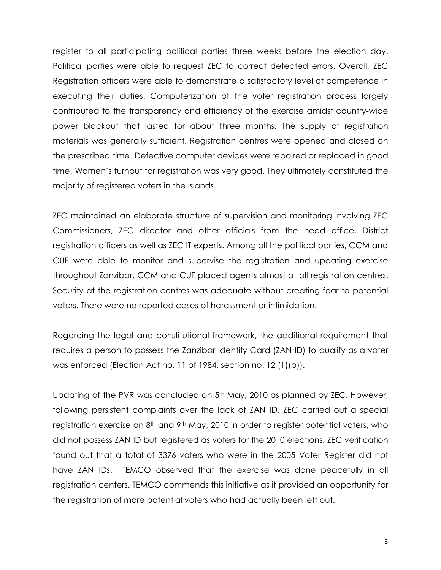register to all participating political parties three weeks before the election day. Political parties were able to request ZEC to correct detected errors. Overall, ZEC Registration officers were able to demonstrate a satisfactory level of competence in executing their duties. Computerization of the voter registration process largely contributed to the transparency and efficiency of the exercise amidst country-wide power blackout that lasted for about three months. The supply of registration materials was generally sufficient. Registration centres were opened and closed on the prescribed time. Defective computer devices were repaired or replaced in good time. Women's turnout for registration was very good. They ultimately constituted the majority of registered voters in the Islands.

ZEC maintained an elaborate structure of supervision and monitoring involving ZEC Commissioners, ZEC director and other officials from the head office, District registration officers as well as ZEC IT experts. Among all the political parties, CCM and CUF were able to monitor and supervise the registration and updating exercise throughout Zanzibar. CCM and CUF placed agents almost at all registration centres. Security at the registration centres was adequate without creating fear to potential voters. There were no reported cases of harassment or intimidation.

Regarding the legal and constitutional framework, the additional requirement that requires a person to possess the Zanzibar Identity Card (ZAN ID) to qualify as a voter was enforced (Election Act no. 11 of 1984, section no. 12 (1)(b)).

Updating of the PVR was concluded on 5<sup>th</sup> May, 2010 as planned by ZEC. However, following persistent complaints over the lack of ZAN ID, ZEC carried out a special registration exercise on 8<sup>th</sup> and 9<sup>th</sup> May, 2010 in order to register potential voters, who did not possess ZAN ID but registered as voters for the 2010 elections. ZEC verification found out that a total of 3376 voters who were in the 2005 Voter Register did not have ZAN IDs. TEMCO observed that the exercise was done peacefully in all registration centers. TEMCO commends this initiative as it provided an opportunity for the registration of more potential voters who had actually been left out.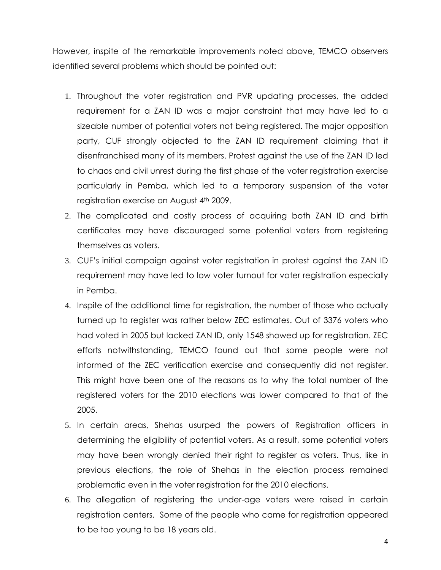However, inspite of the remarkable improvements noted above, TEMCO observers identified several problems which should be pointed out:

- 1. Throughout the voter registration and PVR updating processes, the added requirement for a ZAN ID was a major constraint that may have led to a sizeable number of potential voters not being registered. The major opposition party, CUF strongly objected to the ZAN ID requirement claiming that it disenfranchised many of its members. Protest against the use of the ZAN ID led to chaos and civil unrest during the first phase of the voter registration exercise particularly in Pemba, which led to a temporary suspension of the voter registration exercise on August 4th 2009.
- 2. The complicated and costly process of acquiring both ZAN ID and birth certificates may have discouraged some potential voters from registering themselves as voters.
- 3. CUF's initial campaign against voter registration in protest against the ZAN ID requirement may have led to low voter turnout for voter registration especially in Pemba.
- 4. Inspite of the additional time for registration, the number of those who actually turned up to register was rather below ZEC estimates. Out of 3376 voters who had voted in 2005 but lacked ZAN ID, only 1548 showed up for registration. ZEC efforts notwithstanding, TEMCO found out that some people were not informed of the ZEC verification exercise and consequently did not register. This might have been one of the reasons as to why the total number of the registered voters for the 2010 elections was lower compared to that of the 2005.
- 5. In certain areas, Shehas usurped the powers of Registration officers in determining the eligibility of potential voters. As a result, some potential voters may have been wrongly denied their right to register as voters. Thus, like in previous elections, the role of Shehas in the election process remained problematic even in the voter registration for the 2010 elections.
- 6. The allegation of registering the under-age voters were raised in certain registration centers. Some of the people who came for registration appeared to be too young to be 18 years old.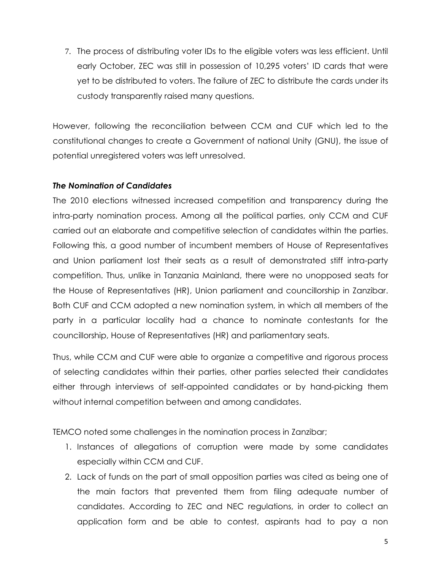7. The process of distributing voter IDs to the eligible voters was less efficient. Until early October, ZEC was still in possession of 10,295 voters' ID cards that were yet to be distributed to voters. The failure of ZEC to distribute the cards under its custody transparently raised many questions.

However, following the reconciliation between CCM and CUF which led to the constitutional changes to create a Government of national Unity (GNU), the issue of potential unregistered voters was left unresolved.

#### The Nomination of Candidates

The 2010 elections witnessed increased competition and transparency during the intra-party nomination process. Among all the political parties, only CCM and CUF carried out an elaborate and competitive selection of candidates within the parties. Following this, a good number of incumbent members of House of Representatives and Union parliament lost their seats as a result of demonstrated stiff intra-party competition. Thus, unlike in Tanzania Mainland, there were no unopposed seats for the House of Representatives (HR), Union parliament and councillorship in Zanzibar. Both CUF and CCM adopted a new nomination system, in which all members of the party in a particular locality had a chance to nominate contestants for the councillorship, House of Representatives (HR) and parliamentary seats.

Thus, while CCM and CUF were able to organize a competitive and rigorous process of selecting candidates within their parties, other parties selected their candidates either through interviews of self-appointed candidates or by hand-picking them without internal competition between and among candidates.

TEMCO noted some challenges in the nomination process in Zanzibar;

- 1. Instances of allegations of corruption were made by some candidates especially within CCM and CUF.
- 2. Lack of funds on the part of small opposition parties was cited as being one of the main factors that prevented them from filing adequate number of candidates. According to ZEC and NEC regulations, in order to collect an application form and be able to contest, aspirants had to pay a non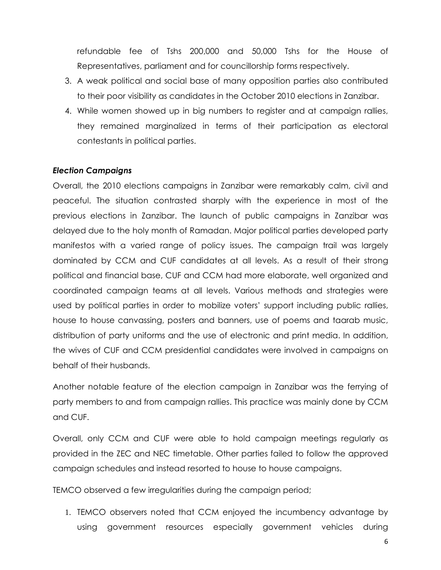refundable fee of Tshs 200,000 and 50,000 Tshs for the House of Representatives, parliament and for councillorship forms respectively.

- 3. A weak political and social base of many opposition parties also contributed to their poor visibility as candidates in the October 2010 elections in Zanzibar.
- 4. While women showed up in big numbers to register and at campaign rallies, they remained marginalized in terms of their participation as electoral contestants in political parties.

#### Election Campaigns

Overall, the 2010 elections campaigns in Zanzibar were remarkably calm, civil and peaceful. The situation contrasted sharply with the experience in most of the previous elections in Zanzibar. The launch of public campaigns in Zanzibar was delayed due to the holy month of Ramadan. Major political parties developed party manifestos with a varied range of policy issues. The campaign trail was largely dominated by CCM and CUF candidates at all levels. As a result of their strong political and financial base, CUF and CCM had more elaborate, well organized and coordinated campaign teams at all levels. Various methods and strategies were used by political parties in order to mobilize voters' support including public rallies, house to house canvassing, posters and banners, use of poems and taarab music, distribution of party uniforms and the use of electronic and print media. In addition, the wives of CUF and CCM presidential candidates were involved in campaigns on behalf of their husbands.

Another notable feature of the election campaign in Zanzibar was the ferrying of party members to and from campaign rallies. This practice was mainly done by CCM and CUF.

Overall, only CCM and CUF were able to hold campaign meetings regularly as provided in the ZEC and NEC timetable. Other parties failed to follow the approved campaign schedules and instead resorted to house to house campaigns.

TEMCO observed a few irregularities during the campaign period;

1. TEMCO observers noted that CCM enjoyed the incumbency advantage by using government resources especially government vehicles during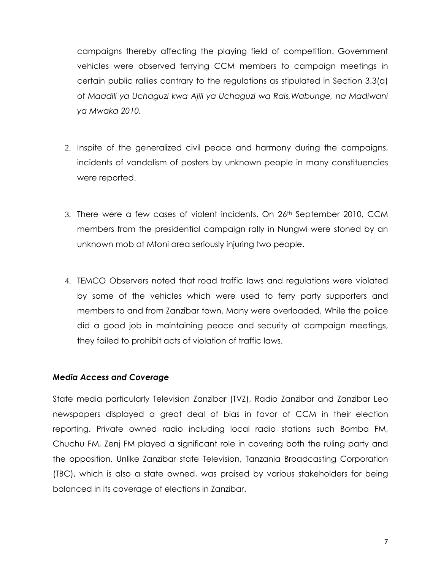campaigns thereby affecting the playing field of competition. Government vehicles were observed ferrying CCM members to campaign meetings in certain public rallies contrary to the regulations as stipulated in Section 3.3(a) of Maadili ya Uchaguzi kwa Ajili ya Uchaguzi wa Rais,Wabunge, na Madiwani ya Mwaka 2010.

- 2. Inspite of the generalized civil peace and harmony during the campaigns, incidents of vandalism of posters by unknown people in many constituencies were reported.
- 3. There were a few cases of violent incidents. On 26th September 2010, CCM members from the presidential campaign rally in Nungwi were stoned by an unknown mob at Mtoni area seriously injuring two people.
- 4. TEMCO Observers noted that road traffic laws and regulations were violated by some of the vehicles which were used to ferry party supporters and members to and from Zanzibar town. Many were overloaded. While the police did a good job in maintaining peace and security at campaign meetings, they failed to prohibit acts of violation of traffic laws.

#### Media Access and Coverage

State media particularly Television Zanzibar (TVZ), Radio Zanzibar and Zanzibar Leo newspapers displayed a great deal of bias in favor of CCM in their election reporting. Private owned radio including local radio stations such Bomba FM, Chuchu FM, Zenj FM played a significant role in covering both the ruling party and the opposition. Unlike Zanzibar state Television, Tanzania Broadcasting Corporation (TBC), which is also a state owned, was praised by various stakeholders for being balanced in its coverage of elections in Zanzibar.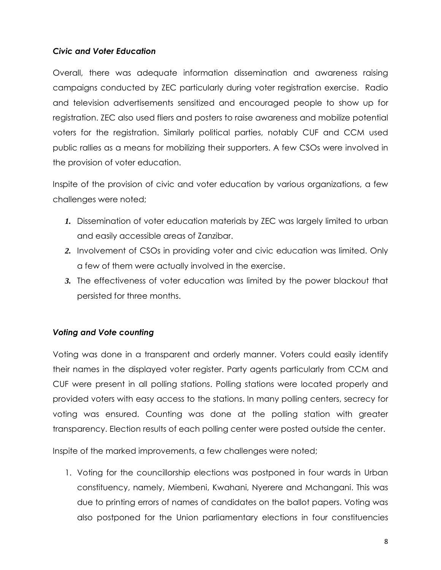#### Civic and Voter Education

Overall, there was adequate information dissemination and awareness raising campaigns conducted by ZEC particularly during voter registration exercise. Radio and television advertisements sensitized and encouraged people to show up for registration. ZEC also used fliers and posters to raise awareness and mobilize potential voters for the registration. Similarly political parties, notably CUF and CCM used public rallies as a means for mobilizing their supporters. A few CSOs were involved in the provision of voter education.

Inspite of the provision of civic and voter education by various organizations, a few challenges were noted;

- *1.* Dissemination of voter education materials by ZEC was largely limited to urban and easily accessible areas of Zanzibar.
- *2.* Involvement of CSOs in providing voter and civic education was limited. Only a few of them were actually involved in the exercise.
- *3.* The effectiveness of voter education was limited by the power blackout that persisted for three months.

#### Voting and Vote counting

Voting was done in a transparent and orderly manner. Voters could easily identify their names in the displayed voter register. Party agents particularly from CCM and CUF were present in all polling stations. Polling stations were located properly and provided voters with easy access to the stations. In many polling centers, secrecy for voting was ensured. Counting was done at the polling station with greater transparency. Election results of each polling center were posted outside the center.

Inspite of the marked improvements, a few challenges were noted;

1. Voting for the councillorship elections was postponed in four wards in Urban constituency, namely, Miembeni, Kwahani, Nyerere and Mchangani. This was due to printing errors of names of candidates on the ballot papers. Voting was also postponed for the Union parliamentary elections in four constituencies